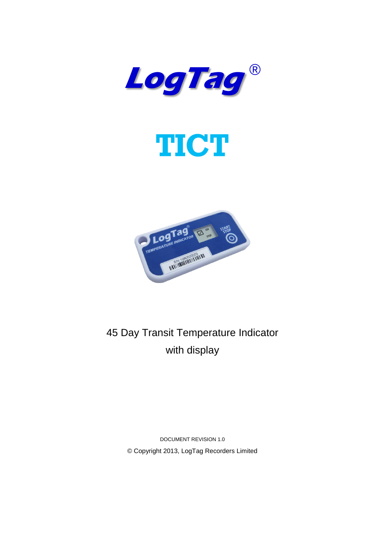





45 Day Transit Temperature Indicator with display

> DOCUMENT REVISION 1.0 © Copyright 2013, LogTag Recorders Limited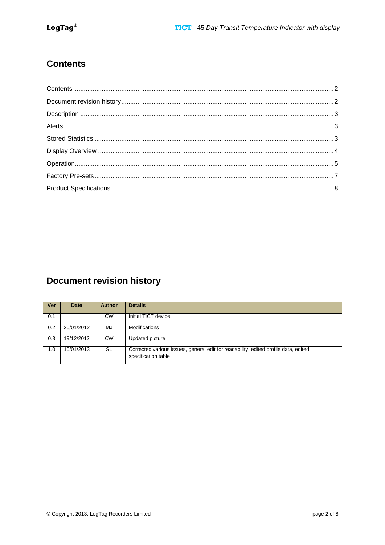## <span id="page-1-0"></span>**Contents**

# <span id="page-1-1"></span>**Document revision history**

| Ver | <b>Date</b> | <b>Author</b> | <b>Details</b>                                                                                             |
|-----|-------------|---------------|------------------------------------------------------------------------------------------------------------|
| 0.1 |             | СW            | Initial TICT device                                                                                        |
| 0.2 | 20/01/2012  | MJ            | Modifications                                                                                              |
| 0.3 | 19/12/2012  | <b>CW</b>     | Updated picture                                                                                            |
| 1.0 | 10/01/2013  | SL            | Corrected various issues, general edit for readability, edited profile data, edited<br>specification table |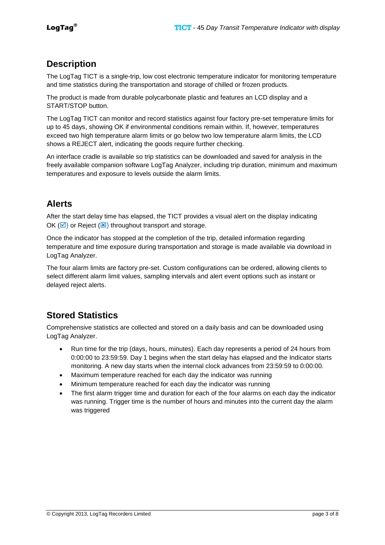### <span id="page-2-0"></span>**Description**

The LogTag TICT is a single-trip, low cost electronic temperature indicator for monitoring temperature and time statistics during the transportation and storage of chilled or frozen products.

The product is made from durable polycarbonate plastic and features an LCD display and a START/STOP button.

The LogTag TICT can monitor and record statistics against four factory pre-set temperature limits for up to 45 days, showing OK if environmental conditions remain within. If, however, temperatures exceed two high temperature alarm limits or go below two low temperature alarm limits, the LCD shows a REJECT alert, indicating the goods require further checking.

An interface cradle is available so trip statistics can be downloaded and saved for analysis in the freely available companion software LogTag Analyzer, including trip duration, minimum and maximum temperatures and exposure to levels outside the alarm limits.

## <span id="page-2-1"></span>**Alerts**

After the start delay time has elapsed, the TICT provides a visual alert on the display indicating OK ( $\boxed{\odot}$ ) or Reject ( $\boxed{\times}$ ) throughout transport and storage.

Once the indicator has stopped at the completion of the trip, detailed information regarding temperature and time exposure during transportation and storage is made available via download in LogTag Analyzer.

The four alarm limits are factory pre-set. Custom configurations can be ordered, allowing clients to select different alarm limit values, sampling intervals and alert event options such as instant or delayed reject alerts.

## <span id="page-2-2"></span>**Stored Statistics**

Comprehensive statistics are collected and stored on a daily basis and can be downloaded using LogTag Analyzer.

- Run time for the trip (days, hours, minutes). Each day represents a period of 24 hours from 0:00:00 to 23:59:59. Day 1 begins when the start delay has elapsed and the Indicator starts monitoring. A new day starts when the internal clock advances from 23:59:59 to 0:00:00.
- Maximum temperature reached for each day the indicator was running
- Minimum temperature reached for each day the indicator was running
- The first alarm trigger time and duration for each of the four alarms on each day the indicator was running. Trigger time is the number of hours and minutes into the current day the alarm was triggered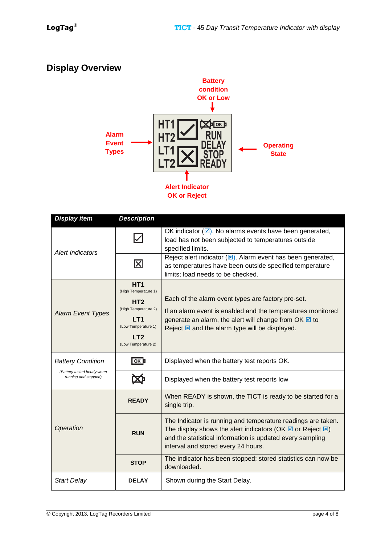# <span id="page-3-0"></span>**Display Overview**



| <b>Display item</b>                                                             | <b>Description</b>                                                                                                                                         |                                                                                                                                                                                                                                                                          |
|---------------------------------------------------------------------------------|------------------------------------------------------------------------------------------------------------------------------------------------------------|--------------------------------------------------------------------------------------------------------------------------------------------------------------------------------------------------------------------------------------------------------------------------|
| <b>Alert Indicators</b>                                                         | $\blacktriangledown$                                                                                                                                       | OK indicator $(\overline{\mathcal{A}})$ . No alarms events have been generated,<br>load has not been subjected to temperatures outside<br>specified limits.                                                                                                              |
|                                                                                 | $\vert\mathsf{X}\vert$                                                                                                                                     | Reject alert indicator $(E)$ . Alarm event has been generated,<br>as temperatures have been outside specified temperature<br>limits; load needs to be checked.                                                                                                           |
| <b>Alarm Event Types</b>                                                        | HT <sub>1</sub><br>(High Temperature 1)<br>HT <sub>2</sub><br>(High Temperature 2)<br>LT1<br>(Low Temperature 1)<br>LT <sub>2</sub><br>(Low Temperature 2) | Each of the alarm event types are factory pre-set.<br>If an alarm event is enabled and the temperatures monitored<br>generate an alarm, the alert will change from OK $\boxtimes$ to<br>Reject <b>E</b> and the alarm type will be displayed.                            |
| <b>Battery Condition</b><br>(Battery tested hourly when<br>running and stopped) | $\overline{\text{OK}}$                                                                                                                                     | Displayed when the battery test reports OK.                                                                                                                                                                                                                              |
|                                                                                 |                                                                                                                                                            | Displayed when the battery test reports low                                                                                                                                                                                                                              |
| Operation                                                                       | <b>READY</b>                                                                                                                                               | When READY is shown, the TICT is ready to be started for a<br>single trip.                                                                                                                                                                                               |
|                                                                                 | <b>RUN</b>                                                                                                                                                 | The Indicator is running and temperature readings are taken.<br>The display shows the alert indicators (OK $\overline{\boxtimes}$ or Reject $\overline{\boxtimes}$ )<br>and the statistical information is updated every sampling<br>interval and stored every 24 hours. |
|                                                                                 | <b>STOP</b>                                                                                                                                                | The indicator has been stopped; stored statistics can now be<br>downloaded.                                                                                                                                                                                              |
| <b>Start Delay</b>                                                              | <b>DELAY</b>                                                                                                                                               | Shown during the Start Delay.                                                                                                                                                                                                                                            |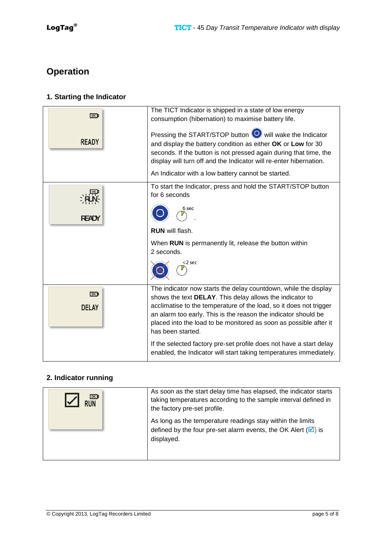# <span id="page-4-0"></span>**Operation**

### **1. Starting the Indicator**

| OK <sub>D</sub> | The TICT Indicator is shipped in a state of low energy<br>consumption (hibernation) to maximise battery life.                                                                                                                                                       |
|-----------------|---------------------------------------------------------------------------------------------------------------------------------------------------------------------------------------------------------------------------------------------------------------------|
| <b>READY</b>    | Pressing the START/STOP button O will wake the Indicator<br>and display the battery condition as either OK or Low for 30<br>seconds. If the button is not pressed again during that time, the<br>display will turn off and the Indicator will re-enter hibernation. |
|                 | An Indicator with a low battery cannot be started.                                                                                                                                                                                                                  |
|                 | To start the Indicator, press and hold the START/STOP button<br>for 6 seconds                                                                                                                                                                                       |
| <b>READY</b>    | 6 sec                                                                                                                                                                                                                                                               |
|                 | <b>RUN</b> will flash.                                                                                                                                                                                                                                              |
|                 | When RUN is permanently lit, release the button within<br>2 seconds.                                                                                                                                                                                                |
|                 | <2 sec                                                                                                                                                                                                                                                              |
| OK <sub>D</sub> | The indicator now starts the delay countdown, while the display<br>shows the text DELAY. This delay allows the indicator to                                                                                                                                         |
| <b>DELAY</b>    | acclimatise to the temperature of the load, so it does not trigger<br>an alarm too early. This is the reason the indicator should be<br>placed into the load to be monitored as soon as possible after it<br>has been started.                                      |
|                 | If the selected factory pre-set profile does not have a start delay<br>enabled, the Indicator will start taking temperatures immediately.                                                                                                                           |

#### **2. Indicator running**

| <b>RUN</b> | As soon as the start delay time has elapsed, the indicator starts<br>taking temperatures according to the sample interval defined in<br>the factory pre-set profile.<br>As long as the temperature readings stay within the limits<br>defined by the four pre-set alarm events, the OK Alert $(\overline{\mathbf{z}})$ is<br>displayed. |
|------------|-----------------------------------------------------------------------------------------------------------------------------------------------------------------------------------------------------------------------------------------------------------------------------------------------------------------------------------------|
|            |                                                                                                                                                                                                                                                                                                                                         |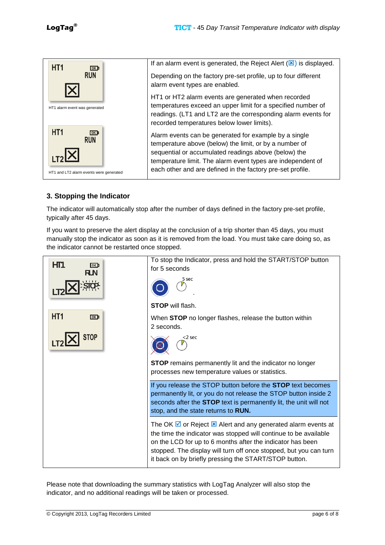

#### **3. Stopping the Indicator**

The indicator will automatically stop after the number of days defined in the factory pre-set profile, typically after 45 days.

If you want to preserve the alert display at the conclusion of a trip shorter than 45 days, you must manually stop the indicator as soon as it is removed from the load. You must take care doing so, as the indicator cannot be restarted once stopped.



Please note that downloading the summary statistics with LogTag Analyzer will also stop the indicator, and no additional readings will be taken or processed.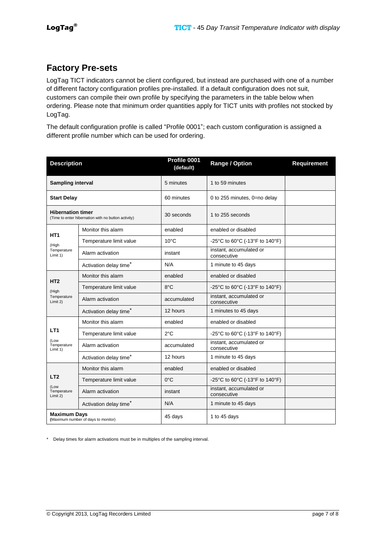## <span id="page-6-0"></span>**Factory Pre-sets**

LogTag TICT indicators cannot be client configured, but instead are purchased with one of a number of different factory configuration profiles pre-installed. If a default configuration does not suit, customers can compile their own profile by specifying the parameters in the table below when ordering. Please note that minimum order quantities apply for TICT units with profiles not stocked by LogTag.

The default configuration profile is called "Profile 0001"; each custom configuration is assigned a different profile number which can be used for ordering.

| <b>Description</b>                                                              |                                    | Profile 0001<br>(default) | Range / Option                         | <b>Requirement</b> |
|---------------------------------------------------------------------------------|------------------------------------|---------------------------|----------------------------------------|--------------------|
| <b>Sampling interval</b>                                                        |                                    | 5 minutes                 | 1 to 59 minutes                        |                    |
| <b>Start Delay</b>                                                              |                                    | 60 minutes                | 0 to 255 minutes, 0=no delay           |                    |
| <b>Hibernation timer</b><br>(Time to enter hibernation with no button activity) |                                    | 30 seconds                | 1 to 255 seconds                       |                    |
|                                                                                 | Monitor this alarm                 | enabled                   | enabled or disabled                    |                    |
| HT <sub>1</sub><br>(High                                                        | Temperature limit value            | $10^{\circ}$ C            | -25°C to 60°C (-13°F to 140°F)         |                    |
| Temperature<br>Limit 1)                                                         | Alarm activation                   | instant                   | instant, accumulated or<br>consecutive |                    |
|                                                                                 | Activation delay time*             | N/A                       | 1 minute to 45 days                    |                    |
| HT <sub>2</sub>                                                                 | Monitor this alarm                 | enabled                   | enabled or disabled                    |                    |
| (High                                                                           | Temperature limit value            | 8°C                       | -25°C to 60°C (-13°F to 140°F)         |                    |
| Temperature<br>Limit 2)                                                         | Alarm activation                   | accumulated               | instant, accumulated or<br>consecutive |                    |
|                                                                                 | Activation delay time <sup>*</sup> | 12 hours                  | 1 minutes to 45 days                   |                    |
|                                                                                 | Monitor this alarm                 | enabled                   | enabled or disabled                    |                    |
| LT <sub>1</sub>                                                                 | Temperature limit value            | $2^{\circ}$ C             | -25°C to 60°C (-13°F to 140°F)         |                    |
| (Low<br>Temperature<br>Limit 1)                                                 | Alarm activation                   | accumulated               | instant, accumulated or<br>consecutive |                    |
|                                                                                 | Activation delay time*             | 12 hours                  | 1 minute to 45 days                    |                    |
|                                                                                 | Monitor this alarm                 | enabled                   | enabled or disabled                    |                    |
| LT <sub>2</sub><br>(Low<br>Temperature<br>Limit 2)                              | Temperature limit value            | $0^{\circ}$ C             | -25°C to 60°C (-13°F to 140°F)         |                    |
|                                                                                 | Alarm activation                   | instant                   | instant, accumulated or<br>consecutive |                    |
|                                                                                 | Activation delay time <sup>*</sup> | N/A                       | 1 minute to 45 days                    |                    |
| <b>Maximum Days</b><br>(Maximum number of days to monitor)                      |                                    | 45 days                   | 1 to 45 days                           |                    |

\* Delay times for alarm activations must be in multiples of the sampling interval.